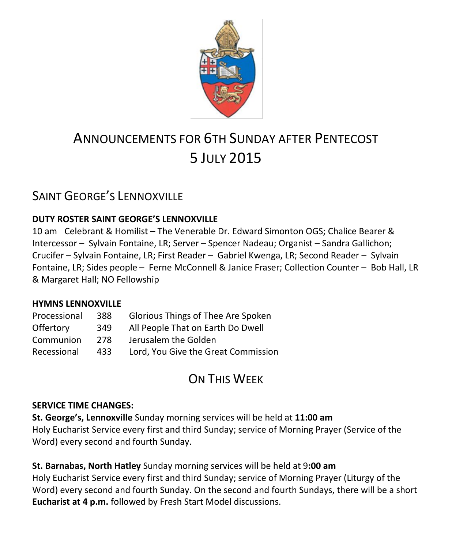

# ANNOUNCEMENTS FOR 6TH SUNDAY AFTER PENTECOST 5 JULY 2015

## SAINT GEORGE'S LENNOXVILLE

### **DUTY ROSTER SAINT GEORGE'S LENNOXVILLE**

10 am Celebrant & Homilist – The Venerable Dr. Edward Simonton OGS; Chalice Bearer & Intercessor – Sylvain Fontaine, LR; Server – Spencer Nadeau; Organist – Sandra Gallichon; Crucifer – Sylvain Fontaine, LR; First Reader – Gabriel Kwenga, LR; Second Reader – Sylvain Fontaine, LR; Sides people – Ferne McConnell & Janice Fraser; Collection Counter – Bob Hall, LR & Margaret Hall; NO Fellowship

#### **HYMNS LENNOXVILLE**

| Processional | 388 | Glorious Things of Thee Are Spoken  |
|--------------|-----|-------------------------------------|
| Offertory    | 349 | All People That on Earth Do Dwell   |
| Communion    | 278 | Jerusalem the Golden                |
| Recessional  | 433 | Lord, You Give the Great Commission |

# ON THIS WEEK

#### **SERVICE TIME CHANGES:**

**St. George's, Lennoxville** Sunday morning services will be held at **11:00 am** Holy Eucharist Service every first and third Sunday; service of Morning Prayer (Service of the Word) every second and fourth Sunday.

**St. Barnabas, North Hatley** Sunday morning services will be held at 9**:00 am** Holy Eucharist Service every first and third Sunday; service of Morning Prayer (Liturgy of the Word) every second and fourth Sunday. On the second and fourth Sundays, there will be a short **Eucharist at 4 p.m.** followed by Fresh Start Model discussions.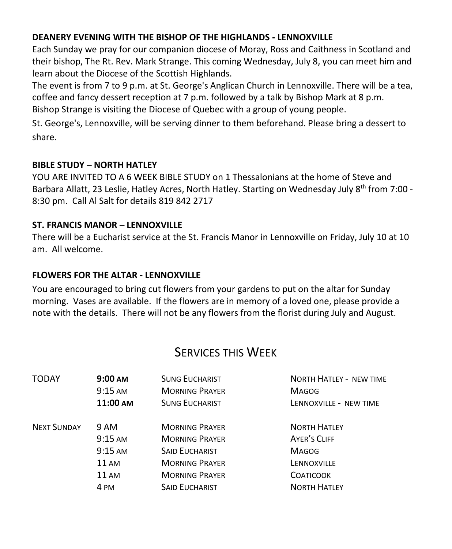#### **DEANERY EVENING WITH THE BISHOP OF THE HIGHLANDS - LENNOXVILLE**

Each Sunday we pray for our companion diocese of Moray, Ross and Caithness in Scotland and their bishop, The Rt. Rev. Mark Strange. This coming Wednesday, July 8, you can meet him and learn about the Diocese of the Scottish Highlands.

The event is from 7 to 9 p.m. at St. George's Anglican Church in Lennoxville. There will be a tea, coffee and fancy dessert reception at 7 p.m. followed by a talk by Bishop Mark at 8 p.m. Bishop Strange is visiting the Diocese of Quebec with a group of young people.

St. George's, Lennoxville, will be serving dinner to them beforehand. Please bring a dessert to share.

### **BIBLE STUDY – NORTH HATLEY**

YOU ARE INVITED TO A 6 WEEK BIBLE STUDY on 1 Thessalonians at the home of Steve and Barbara Allatt, 23 Leslie, Hatley Acres, North Hatley. Starting on Wednesday July 8<sup>th</sup> from 7:00 -8:30 pm. Call Al Salt for details 819 842 2717

### **ST. FRANCIS MANOR – LENNOXVILLE**

There will be a Eucharist service at the St. Francis Manor in Lennoxville on Friday, July 10 at 10 am. All welcome.

#### **FLOWERS FOR THE ALTAR - LENNOXVILLE**

You are encouraged to bring cut flowers from your gardens to put on the altar for Sunday morning. Vases are available. If the flowers are in memory of a loved one, please provide a note with the details. There will not be any flowers from the florist during July and August.

## SERVICES THIS WEEK

| <b>TODAY</b>       | $9:00 \text{ AM}$ | <b>SUNG EUCHARIST</b> | <b>NORTH HATLEY - NEW TIME</b> |
|--------------------|-------------------|-----------------------|--------------------------------|
|                    | $9:15 \text{ AM}$ | <b>MORNING PRAYER</b> | <b>MAGOG</b>                   |
|                    | 11:00 AM          | <b>SUNG EUCHARIST</b> | LENNOXVILLE - NEW TIME         |
| <b>NEXT SUNDAY</b> | 9 AM              | <b>MORNING PRAYER</b> | <b>NORTH HATLEY</b>            |
|                    | $9:15 \text{ AM}$ | <b>MORNING PRAYER</b> | <b>AYER'S CLIFF</b>            |
|                    | $9:15$ AM         | <b>SAID EUCHARIST</b> | <b>MAGOG</b>                   |
|                    | <b>11 AM</b>      | <b>MORNING PRAYER</b> | LENNOXVILLE                    |
|                    | <b>11 AM</b>      | <b>MORNING PRAYER</b> | <b>COATICOOK</b>               |
|                    | 4 PM              | <b>SAID EUCHARIST</b> | <b>NORTH HATLEY</b>            |
|                    |                   |                       |                                |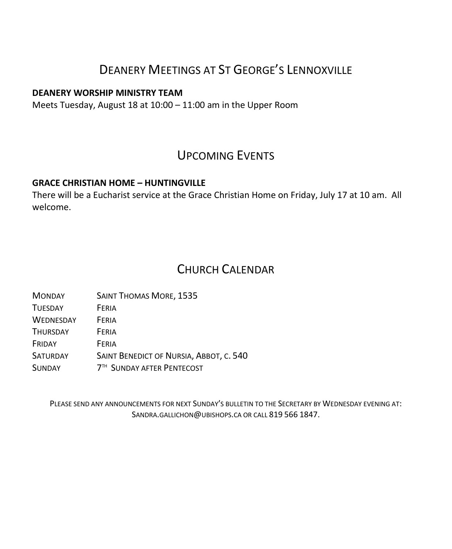# DEANERY MEETINGS AT ST GEORGE'S LENNOXVILLE

#### **DEANERY WORSHIP MINISTRY TEAM**

Meets Tuesday, August 18 at 10:00 – 11:00 am in the Upper Room

### UPCOMING EVENTS

#### **GRACE CHRISTIAN HOME – HUNTINGVILLE**

There will be a Eucharist service at the Grace Christian Home on Friday, July 17 at 10 am. All welcome.

### CHURCH CALENDAR

| <b>MONDAY</b>    | <b>SAINT THOMAS MORE, 1535</b>          |  |
|------------------|-----------------------------------------|--|
| <b>TUESDAY</b>   | FERIA                                   |  |
| <b>WEDNESDAY</b> | FERIA                                   |  |
| <b>THURSDAY</b>  | FERIA                                   |  |
| FRIDAY           | FERIA                                   |  |
| SATURDAY         | SAINT BENEDICT OF NURSIA, ABBOT, C. 540 |  |
| <b>SUNDAY</b>    | 7 <sup>TH</sup> SUNDAY AFTER PENTECOST  |  |

PLEASE SEND ANY ANNOUNCEMENTS FOR NEXT SUNDAY'S BULLETIN TO THE SECRETARY BY WEDNESDAY EVENING AT: SANDRA.GALLICHON@UBISHOPS.CA OR CALL 819 566 1847.